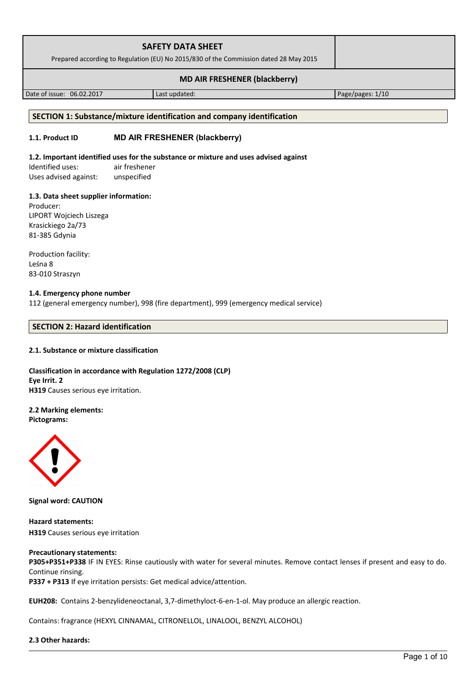| <b>SAFETY DATA SHEET</b><br>Prepared according to Regulation (EU) No 2015/830 of the Commission dated 28 May 2015 |  |
|-------------------------------------------------------------------------------------------------------------------|--|
| <b>MD AIR FRESHENER (blackberry)</b>                                                                              |  |

Date of issue: 06.02.2017 | Last updated: Page/pages: 1/10

### **SECTION 1: Substance/mixture identification and company identification**

## **1.1. Product ID MD AIR FRESHENER (blackberry)**

### **1.2. Important identified uses for the substance or mixture and uses advised against**

Identified uses: air freshener Uses advised against: unspecified

## **1.3. Data sheet supplier information:**

Producer: LIPORT Wojciech Liszega Krasickiego 2a/73 81-385 Gdynia

Production facility: Leśna 8 83-010 Straszyn

## **1.4. Emergency phone number**

112 (general emergency number), 998 (fire department), 999 (emergency medical service)

## **SECTION 2: Hazard identification**

### **2.1. Substance or mixture classification**

**Classification in accordance with Regulation 1272/2008 (CLP) Eye Irrit. 2 H319** Causes serious eye irritation.

## **2.2 Marking elements:**

**Pictograms:**



**Signal word: CAUTION**

**Hazard statements: H319** Causes serious eye irritation

### **Precautionary statements:**

**P305+P351+P338** IF IN EYES: Rinse cautiously with water for several minutes. Remove contact lenses if present and easy to do. Continue rinsing.

**P337 + P313** If eye irritation persists: Get medical advice/attention.

**EUH208:** Contains 2-benzylideneoctanal, 3,7-dimethyloct-6-en-1-ol. May produce an allergic reaction.

Contains: fragrance (HEXYL CINNAMAL, CITRONELLOL, LINALOOL, BENZYL ALCOHOL)

### **2.3 Other hazards:**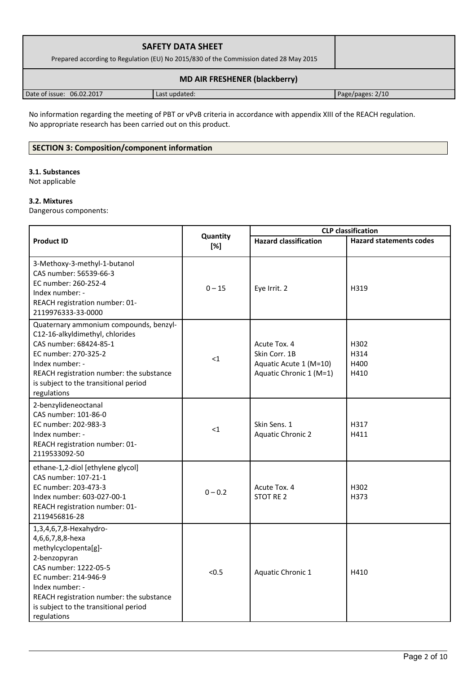| <b>SAFETY DATA SHEET</b><br>Prepared according to Regulation (EU) No 2015/830 of the Commission dated 28 May 2015 |               |                  |
|-------------------------------------------------------------------------------------------------------------------|---------------|------------------|
| <b>MD AIR FRESHENER (blackberry)</b>                                                                              |               |                  |
| Date of issue: 06.02.2017                                                                                         | Last updated: | Page/pages: 2/10 |

No information regarding the meeting of PBT or vPvB criteria in accordance with appendix XIII of the REACH regulation. No appropriate research has been carried out on this product.

# **SECTION 3: Composition/component information**

## **3.1. Substances**

Not applicable

# **3.2. Mixtures**

Dangerous components:

|                                                                                                                                                                                                                                                            |                 |                                                                                    | <b>CLP</b> classification      |  |
|------------------------------------------------------------------------------------------------------------------------------------------------------------------------------------------------------------------------------------------------------------|-----------------|------------------------------------------------------------------------------------|--------------------------------|--|
| <b>Product ID</b>                                                                                                                                                                                                                                          | Quantity<br>[%] | <b>Hazard classification</b>                                                       | <b>Hazard statements codes</b> |  |
| 3-Methoxy-3-methyl-1-butanol<br>CAS number: 56539-66-3<br>EC number: 260-252-4<br>Index number: -<br>REACH registration number: 01-<br>2119976333-33-0000                                                                                                  | $0 - 15$        | Eye Irrit. 2                                                                       | H319                           |  |
| Quaternary ammonium compounds, benzyl-<br>C12-16-alkyldimethyl, chlorides<br>CAS number: 68424-85-1<br>EC number: 270-325-2<br>Index number: -<br>REACH registration number: the substance<br>is subject to the transitional period<br>regulations         | $\leq$ 1        | Acute Tox. 4<br>Skin Corr. 1B<br>Aquatic Acute 1 (M=10)<br>Aquatic Chronic 1 (M=1) | H302<br>H314<br>H400<br>H410   |  |
| 2-benzylideneoctanal<br>CAS number: 101-86-0<br>EC number: 202-983-3<br>Index number: -<br>REACH registration number: 01-<br>2119533092-50                                                                                                                 | $\leq$ 1        | Skin Sens. 1<br><b>Aquatic Chronic 2</b>                                           | H317<br>H411                   |  |
| ethane-1,2-diol [ethylene glycol]<br>CAS number: 107-21-1<br>EC number: 203-473-3<br>Index number: 603-027-00-1<br>REACH registration number: 01-<br>2119456816-28                                                                                         | $0 - 0.2$       | Acute Tox. 4<br><b>STOT RE 2</b>                                                   | H302<br>H373                   |  |
| 1,3,4,6,7,8-Hexahydro-<br>4,6,6,7,8,8-hexa<br>methylcyclopenta[g]-<br>2-benzopyran<br>CAS number: 1222-05-5<br>EC number: 214-946-9<br>Index number: -<br>REACH registration number: the substance<br>is subject to the transitional period<br>regulations | < 0.5           | Aquatic Chronic 1                                                                  | H410                           |  |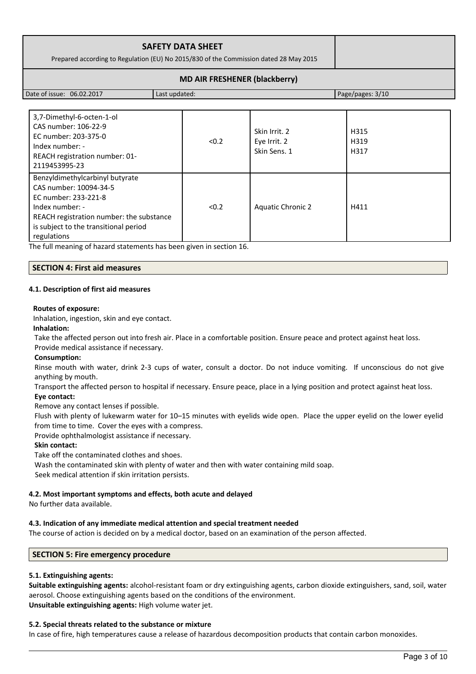| <b>SAFETY DATA SHEET</b>                                                              |  |
|---------------------------------------------------------------------------------------|--|
| Prepared according to Regulation (EU) No 2015/830 of the Commission dated 28 May 2015 |  |
| <b>MD AIR FRESHENER (blackberry)</b>                                                  |  |

Date of issue: 06.02.2017 Last updated: Page/pages: 3/10

| 3,7-Dimethyl-6-octen-1-ol<br>CAS number: 106-22-9<br>EC number: 203-375-0<br>Index number: -<br>REACH registration number: 01-<br>2119453995-23                                                          | < 0.2 | Skin Irrit, 2<br>Eye Irrit. 2<br>Skin Sens. 1 | H315<br>H319<br>H317 |
|----------------------------------------------------------------------------------------------------------------------------------------------------------------------------------------------------------|-------|-----------------------------------------------|----------------------|
| Benzyldimethylcarbinyl butyrate<br>CAS number: 10094-34-5<br>EC number: 233-221-8<br>Index number: -<br>REACH registration number: the substance<br>is subject to the transitional period<br>regulations | < 0.2 | <b>Aquatic Chronic 2</b>                      | H411                 |

The full meaning of hazard statements has been given in section 16.

## **SECTION 4: First aid measures**

## **4.1. Description of first aid measures**

### **Routes of exposure:**

Inhalation, ingestion, skin and eye contact.

## **Inhalation:**

Take the affected person out into fresh air. Place in a comfortable position. Ensure peace and protect against heat loss.

### Provide medical assistance if necessary.

## **Consumption:**

Rinse mouth with water, drink 2-3 cups of water, consult a doctor. Do not induce vomiting. If unconscious do not give anything by mouth.

Transport the affected person to hospital if necessary. Ensure peace, place in a lying position and protect against heat loss.

## **Eye contact:**

Remove any contact lenses if possible.

Flush with plenty of lukewarm water for 10–15 minutes with eyelids wide open. Place the upper eyelid on the lower eyelid from time to time. Cover the eyes with a compress.

Provide ophthalmologist assistance if necessary.

## **Skin contact:**

Take off the contaminated clothes and shoes.

Wash the contaminated skin with plenty of water and then with water containing mild soap. Seek medical attention if skin irritation persists.

## **4.2. Most important symptoms and effects, both acute and delayed**

No further data available.

## **4.3. Indication of any immediate medical attention and special treatment needed**

The course of action is decided on by a medical doctor, based on an examination of the person affected.

## **SECTION 5: Fire emergency procedure**

## **5.1. Extinguishing agents:**

**Suitable extinguishing agents:** alcohol-resistant foam or dry extinguishing agents, carbon dioxide extinguishers, sand, soil, water aerosol. Choose extinguishing agents based on the conditions of the environment. **Unsuitable extinguishing agents:** High volume water jet.

## **5.2. Special threats related to the substance or mixture**

In case of fire, high temperatures cause a release of hazardous decomposition products that contain carbon monoxides.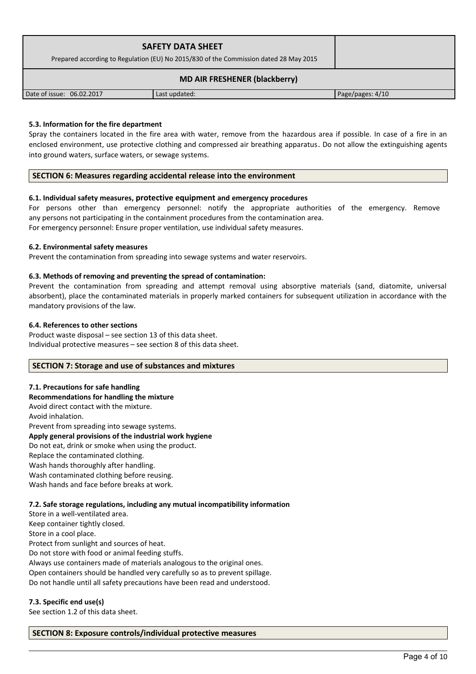| <b>SAFETY DATA SHEET</b><br>Prepared according to Regulation (EU) No 2015/830 of the Commission dated 28 May 2015 |               |                  |
|-------------------------------------------------------------------------------------------------------------------|---------------|------------------|
| <b>MD AIR FRESHENER (blackberry)</b>                                                                              |               |                  |
| Date of issue: 06.02.2017                                                                                         | Last updated: | Page/pages: 4/10 |

## **5.3. Information for the fire department**

Spray the containers located in the fire area with water, remove from the hazardous area if possible. In case of a fire in an enclosed environment, use protective clothing and compressed air breathing apparatus. Do not allow the extinguishing agents into ground waters, surface waters, or sewage systems.

## **SECTION 6: Measures regarding accidental release into the environment**

## **6.1. Individual safety measures, protective equipment and emergency procedures**

For persons other than emergency personnel: notify the appropriate authorities of the emergency. Remove any persons not participating in the containment procedures from the contamination area. For emergency personnel: Ensure proper ventilation, use individual safety measures.

## **6.2. Environmental safety measures**

Prevent the contamination from spreading into sewage systems and water reservoirs.

## **6.3. Methods of removing and preventing the spread of contamination:**

Prevent the contamination from spreading and attempt removal using absorptive materials (sand, diatomite, universal absorbent), place the contaminated materials in properly marked containers for subsequent utilization in accordance with the mandatory provisions of the law.

### **6.4. References to other sections**

Product waste disposal – see section 13 of this data sheet. Individual protective measures – see section 8 of this data sheet.

## **SECTION 7: Storage and use of substances and mixtures**

### **7.1. Precautions for safe handling**

**Recommendations for handling the mixture** 

Avoid direct contact with the mixture. Avoid inhalation. Prevent from spreading into sewage systems.

### **Apply general provisions of the industrial work hygiene**

Do not eat, drink or smoke when using the product.

Replace the contaminated clothing.

Wash hands thoroughly after handling.

Wash contaminated clothing before reusing.

Wash hands and face before breaks at work.

## **7.2. Safe storage regulations, including any mutual incompatibility information**

Store in a well-ventilated area. Keep container tightly closed. Store in a cool place. Protect from sunlight and sources of heat. Do not store with food or animal feeding stuffs. Always use containers made of materials analogous to the original ones. Open containers should be handled very carefully so as to prevent spillage. Do not handle until all safety precautions have been read and understood.

## **7.3. Specific end use(s)**

See section 1.2 of this data sheet.

## **SECTION 8: Exposure controls/individual protective measures**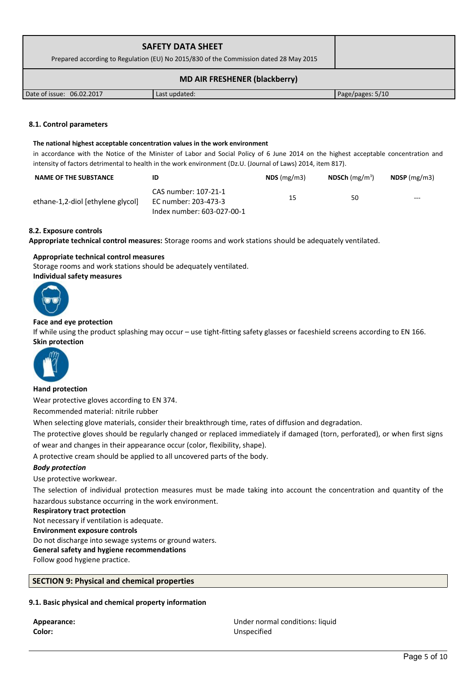| <b>SAFETY DATA SHEET</b><br>Prepared according to Regulation (EU) No 2015/830 of the Commission dated 28 May 2015 |               |                  |
|-------------------------------------------------------------------------------------------------------------------|---------------|------------------|
|                                                                                                                   |               |                  |
| Date of issue: 06.02.2017                                                                                         | Last updated: | Page/pages: 5/10 |

### **8.1. Control parameters**

#### **The national highest acceptable concentration values in the work environment**

in accordance with the Notice of the Minister of Labor and Social Policy of 6 June 2014 on the highest acceptable concentration and intensity of factors detrimental to health in the work environment (Dz.U. (Journal of Laws) 2014, item 817).

| <b>NAME OF THE SUBSTANCE</b>      | ID                                                                         | $NDS$ (mg/m3) | <b>NDSCh</b> (mg/m <sup>3</sup> ) | $NDSP$ (mg/m3) |
|-----------------------------------|----------------------------------------------------------------------------|---------------|-----------------------------------|----------------|
| ethane-1,2-diol [ethylene glycol] | CAS number: 107-21-1<br>EC number: 203-473-3<br>Index number: 603-027-00-1 | 15            | 50                                | $---$          |

### **8.2. Exposure controls**

**Appropriate technical control measures:** Storage rooms and work stations should be adequately ventilated.

### **Appropriate technical control measures**

Storage rooms and work stations should be adequately ventilated.

**Individual safety measures** 



## **Face and eye protection**

If while using the product splashing may occur – use tight-fitting safety glasses or faceshield screens according to EN 166. **Skin protection** 



### **Hand protection**

Wear protective gloves according to EN 374.

Recommended material: nitrile rubber

When selecting glove materials, consider their breakthrough time, rates of diffusion and degradation.

The protective gloves should be regularly changed or replaced immediately if damaged (torn, perforated), or when first signs of wear and changes in their appearance occur (color, flexibility, shape).

A protective cream should be applied to all uncovered parts of the body.

### *Body protection*

Use protective workwear.

The selection of individual protection measures must be made taking into account the concentration and quantity of the hazardous substance occurring in the work environment.

#### **Respiratory tract protection**

Not necessary if ventilation is adequate.

### **Environment exposure controls**

Do not discharge into sewage systems or ground waters.

## **General safety and hygiene recommendations**

Follow good hygiene practice.

## **SECTION 9: Physical and chemical properties**

### **9.1. Basic physical and chemical property information**

**Color:** Unspecified

**Appearance:** Under normal conditions: liquid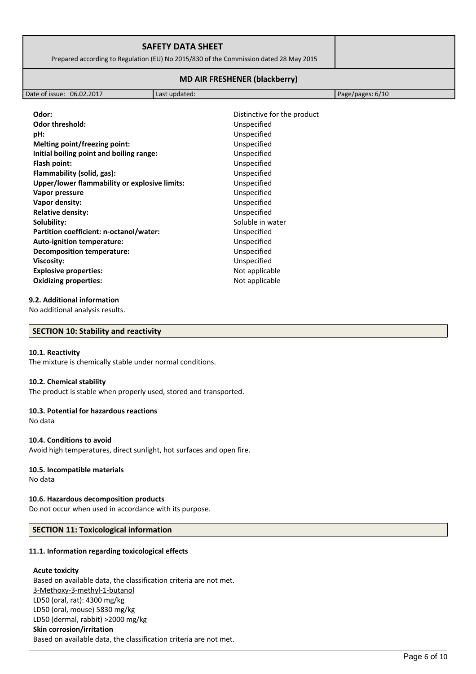| <b>SAFETY DATA SHEET</b><br>Prepared according to Regulation (EU) No 2015/830 of the Commission dated 28 May 2015 |  |
|-------------------------------------------------------------------------------------------------------------------|--|
| <b>MD AIR FRESHENER (blackberry)</b>                                                                              |  |

| 06.02.2017<br>Date of issue:<br>Page/pages: $6/10$<br>updated:<br>Last |  |  |
|------------------------------------------------------------------------|--|--|
|------------------------------------------------------------------------|--|--|

| Odor:                                         | Distinctive for the product |
|-----------------------------------------------|-----------------------------|
| <b>Odor threshold:</b>                        | Unspecified                 |
| pH:                                           | Unspecified                 |
| Melting point/freezing point:                 | Unspecified                 |
| Initial boiling point and boiling range:      | Unspecified                 |
| Flash point:                                  | Unspecified                 |
| Flammability (solid, gas):                    | Unspecified                 |
| Upper/lower flammability or explosive limits: | Unspecified                 |
| Vapor pressure                                | Unspecified                 |
| Vapor density:                                | Unspecified                 |
| <b>Relative density:</b>                      | Unspecified                 |
| Solubility:                                   | Soluble in water            |
| Partition coefficient: n-octanol/water:       | Unspecified                 |
| Auto-ignition temperature:                    | Unspecified                 |
| <b>Decomposition temperature:</b>             | Unspecified                 |
| Viscosity:                                    | Unspecified                 |
| <b>Explosive properties:</b>                  | Not applicable              |
| <b>Oxidizing properties:</b>                  | Not applicable              |
|                                               |                             |

### **9.2. Additional information**

No additional analysis results.

### **SECTION 10: Stability and reactivity**

### **10.1. Reactivity**

The mixture is chemically stable under normal conditions.

## **10.2. Chemical stability**

The product is stable when properly used, stored and transported.

## **10.3. Potential for hazardous reactions**

No data

### **10.4. Conditions to avoid**

Avoid high temperatures, direct sunlight, hot surfaces and open fire.

## **10.5. Incompatible materials**

No data

## **10.6. Hazardous decomposition products**

Do not occur when used in accordance with its purpose.

## **SECTION 11: Toxicological information**

### **11.1. Information regarding toxicological effects**

### **Acute toxicity**

Based on available data, the classification criteria are not met. 3-Methoxy-3-methyl-1-butanol LD50 (oral, rat): 4300 mg/kg LD50 (oral, mouse) 5830 mg/kg LD50 (dermal, rabbit) >2000 mg/kg **Skin corrosion/irritation** Based on available data, the classification criteria are not met.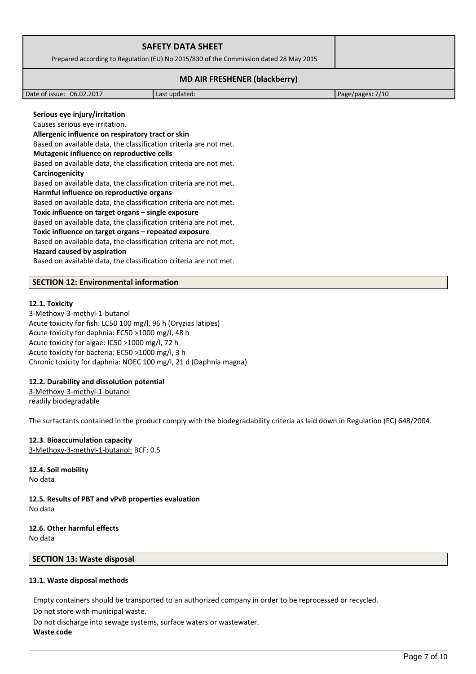| <b>SAFETY DATA SHEET</b><br>Prepared according to Regulation (EU) No 2015/830 of the Commission dated 28 May 2015 |               |                  |
|-------------------------------------------------------------------------------------------------------------------|---------------|------------------|
|                                                                                                                   |               |                  |
| Date of issue: 06.02.2017                                                                                         | Last updated: | Page/pages: 7/10 |
| Serious eye injury/irritation                                                                                     |               |                  |

Causes serious eye irritation. **Allergenic influence on respiratory tract or skin** Based on available data, the classification criteria are not met. **Mutagenic influence on reproductive cells** Based on available data, the classification criteria are not met. **Carcinogenicity** Based on available data, the classification criteria are not met. **Harmful influence on reproductive organs** Based on available data, the classification criteria are not met. **Toxic influence on target organs – single exposure** Based on available data, the classification criteria are not met. **Toxic influence on target organs – repeated exposure** Based on available data, the classification criteria are not met.

#### **Hazard caused by aspiration**

Based on available data, the classification criteria are not met.

## **SECTION 12: Environmental information**

### **12.1. Toxicity**

3-Methoxy-3-methyl-1-butanol Acute toxicity for fish: LC50 100 mg/l, 96 h (Oryzias latipes) Acute toxicity for daphnia: EC50 >1000 mg/l, 48 h Acute toxicity for algae: IC50 >1000 mg/l, 72 h Acute toxicity for bacteria: EC50 >1000 mg/l, 3 h Chronic toxicity for daphnia: NOEC 100 mg/l, 21 d (Daphnia magna)

### **12.2. Durability and dissolution potential**

3-Methoxy-3-methyl-1-butanol readily biodegradable

The surfactants contained in the product comply with the biodegradability criteria as laid down in Regulation (EC) 648/2004.

## **12.3. Bioaccumulation capacity** 3-Methoxy-3-methyl-1-butanol: BCF: 0.5

**12.4. Soil mobility** No data

**12.5. Results of PBT and vPvB properties evaluation** No data

### **12.6. Other harmful effects** No data

### **SECTION 13: Waste disposal**

### **13.1. Waste disposal methods**

Empty containers should be transported to an authorized company in order to be reprocessed or recycled.

Do not store with municipal waste.

Do not discharge into sewage systems, surface waters or wastewater. **Waste code**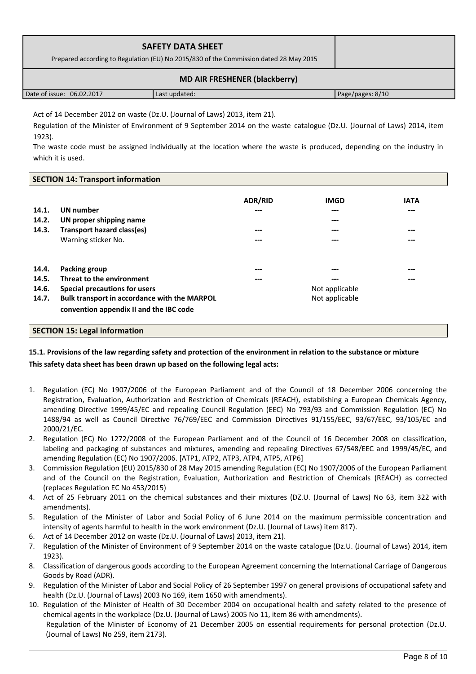| <b>SAFETY DATA SHEET</b><br>Prepared according to Regulation (EU) No 2015/830 of the Commission dated 28 May 2015 |               |                  |  |
|-------------------------------------------------------------------------------------------------------------------|---------------|------------------|--|
| <b>MD AIR FRESHENER (blackberry)</b>                                                                              |               |                  |  |
| Date of issue: 06.02.2017                                                                                         | Last updated: | Page/pages: 8/10 |  |

Act of 14 December 2012 on waste (Dz.U. (Journal of Laws) 2013, item 21).

Regulation of the Minister of Environment of 9 September 2014 on the waste catalogue (Dz.U. (Journal of Laws) 2014, item 1923).

The waste code must be assigned individually at the location where the waste is produced, depending on the industry in which it is used.

## **SECTION 14: Transport information**

| 14.1.<br>14.2.<br>14.3. | <b>UN</b> number<br>UN proper shipping name<br>Transport hazard class(es)<br>Warning sticker No. | <b>ADR/RID</b><br>---<br>---<br>--- | <b>IMGD</b><br>---<br>$---$<br>$---$<br>$---$ | <b>IATA</b><br>$---$<br>$---$<br>$---$ |
|-------------------------|--------------------------------------------------------------------------------------------------|-------------------------------------|-----------------------------------------------|----------------------------------------|
| 14.4.                   | Packing group                                                                                    | ---                                 | ---                                           | $---$                                  |
| 14.5.                   | Threat to the environment                                                                        | ---                                 | ---                                           | $---$                                  |
| 14.6.                   | Special precautions for users                                                                    | Not applicable                      |                                               |                                        |
| 14.7.                   | Bulk transport in accordance with the MARPOL<br>convention appendix II and the IBC code          |                                     | Not applicable                                |                                        |

## **SECTION 15: Legal information**

# **15.1. Provisions of the law regarding safety and protection of the environment in relation to the substance or mixture This safety data sheet has been drawn up based on the following legal acts:**

- 1. Regulation (EC) No 1907/2006 of the European Parliament and of the Council of 18 December 2006 concerning the Registration, Evaluation, Authorization and Restriction of Chemicals (REACH), establishing a European Chemicals Agency, amending Directive 1999/45/EC and repealing Council Regulation (EEC) No 793/93 and Commission Regulation (EC) No 1488/94 as well as Council Directive 76/769/EEC and Commission Directives 91/155/EEC, 93/67/EEC, 93/105/EC and 2000/21/EC.
- 2. Regulation (EC) No 1272/2008 of the European Parliament and of the Council of 16 December 2008 on classification, labeling and packaging of substances and mixtures, amending and repealing Directives 67/548/EEC and 1999/45/EC, and amending Regulation (EC) No 1907/2006. [ATP1, ATP2, ATP3, ATP4, ATP5, ATP6]
- 3. Commission Regulation (EU) 2015/830 of 28 May 2015 amending Regulation (EC) No 1907/2006 of the European Parliament and of the Council on the Registration, Evaluation, Authorization and Restriction of Chemicals (REACH) as corrected (replaces Regulation EC No 453/2015)
- 4. Act of 25 February 2011 on the chemical substances and their mixtures (DZ.U. (Journal of Laws) No 63, item 322 with amendments).
- 5. Regulation of the Minister of Labor and Social Policy of 6 June 2014 on the maximum permissible concentration and intensity of agents harmful to health in the work environment (Dz.U. (Journal of Laws) item 817).
- 6. Act of 14 December 2012 on waste (Dz.U. (Journal of Laws) 2013, item 21).
- 7. Regulation of the Minister of Environment of 9 September 2014 on the waste catalogue (Dz.U. (Journal of Laws) 2014, item 1923).
- 8. Classification of dangerous goods according to the European Agreement concerning the International Carriage of Dangerous Goods by Road (ADR).
- 9. Regulation of the Minister of Labor and Social Policy of 26 September 1997 on general provisions of occupational safety and health (Dz.U. (Journal of Laws) 2003 No 169, item 1650 with amendments).
- 10. Regulation of the Minister of Health of 30 December 2004 on occupational health and safety related to the presence of chemical agents in the workplace (Dz.U. (Journal of Laws) 2005 No 11, item 86 with amendments). Regulation of the Minister of Economy of 21 December 2005 on essential requirements for personal protection (Dz.U. (Journal of Laws) No 259, item 2173).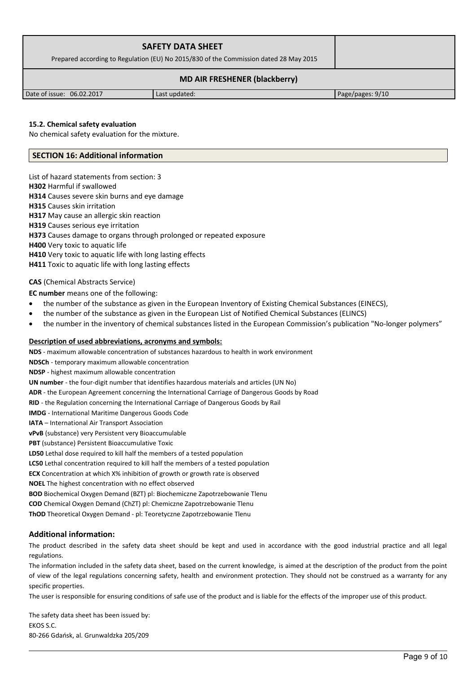| <b>SAFETY DATA SHEET</b><br>Prepared according to Regulation (EU) No 2015/830 of the Commission dated 28 May 2015 |  |               |                    |  |
|-------------------------------------------------------------------------------------------------------------------|--|---------------|--------------------|--|
| <b>MD AIR FRESHENER (blackberry)</b>                                                                              |  |               |                    |  |
| Date of issue: 06.02.2017                                                                                         |  | Last updated: | Page/pages: $9/10$ |  |

### **15.2. Chemical safety evaluation**

No chemical safety evaluation for the mixture.

## **SECTION 16: Additional information**

List of hazard statements from section: 3 **H302** Harmful if swallowed **H314** Causes severe skin burns and eye damage **H315** Causes skin irritation **H317** May cause an allergic skin reaction **H319** Causes serious eye irritation **H373** Causes damage to organs through prolonged or repeated exposure **H400** Very toxic to aquatic life **H410** Very toxic to aquatic life with long lasting effects **H411** Toxic to aquatic life with long lasting effects

## **CAS** (Chemical Abstracts Service)

**EC number** means one of the following:

- the number of the substance as given in the European Inventory of Existing Chemical Substances (EINECS),
- the number of the substance as given in the European List of Notified Chemical Substances (ELINCS)
- the number in the inventory of chemical substances listed in the European Commission's publication "No-longer polymers"

## **Description of used abbreviations, acronyms and symbols:**

**NDS** - maximum allowable concentration of substances hazardous to health in work environment **NDSCh** - temporary maximum allowable concentration **NDSP** - highest maximum allowable concentration **UN number** - the four-digit number that identifies hazardous materials and articles (UN No) **ADR** - the European Agreement concerning the International Carriage of Dangerous Goods by Road **RID** - the Regulation concerning the International Carriage of Dangerous Goods by Rail **IMDG** - International Maritime Dangerous Goods Code **IATA** – International Air Transport Association **vPvB** (substance) very Persistent very Bioaccumulable **PBT** (substance) Persistent Bioaccumulative Toxic **LD50** Lethal dose required to kill half the members of a tested population **LC50** Lethal concentration required to kill half the members of a tested population **ECX** Concentration at which X% inhibition of growth or growth rate is observed **NOEL** The highest concentration with no effect observed **BOD** Biochemical Oxygen Demand (BZT) pl: Biochemiczne Zapotrzebowanie Tlenu **COD** Chemical Oxygen Demand (ChZT) pl: Chemiczne Zapotrzebowanie Tlenu

**ThOD** Theoretical Oxygen Demand - pl: Teoretyczne Zapotrzebowanie Tlenu

## **Additional information:**

The product described in the safety data sheet should be kept and used in accordance with the good industrial practice and all legal regulations.

The information included in the safety data sheet, based on the current knowledge, is aimed at the description of the product from the point of view of the legal regulations concerning safety, health and environment protection. They should not be construed as a warranty for any specific properties.

The user is responsible for ensuring conditions of safe use of the product and is liable for the effects of the improper use of this product.

The safety data sheet has been issued by: EKOS S.C. 80-266 Gdańsk, al. Grunwaldzka 205/209